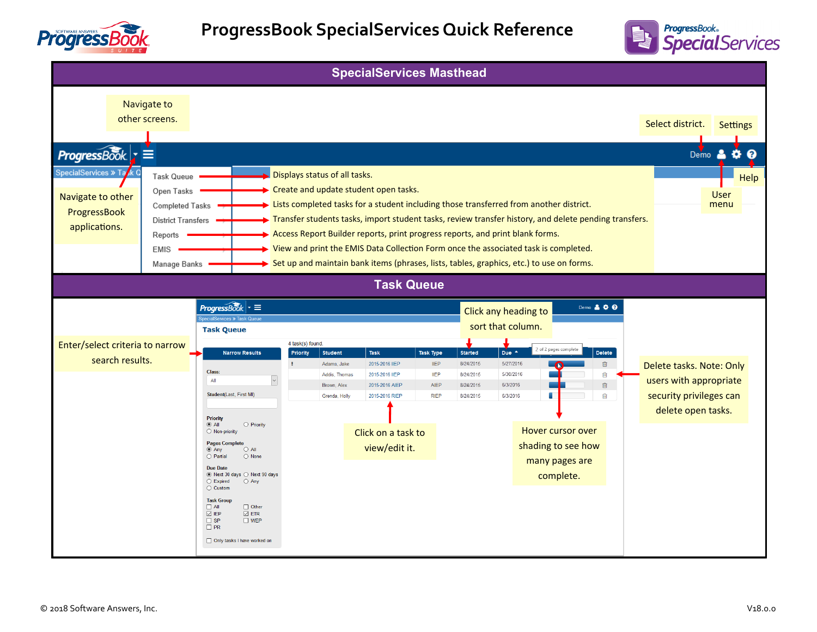